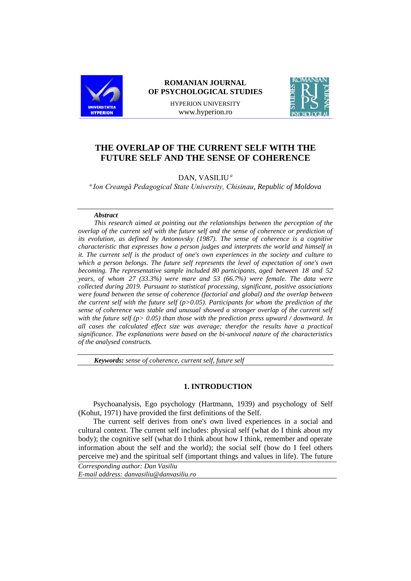

## **ROMANIAN JOURNAL OF PSYCHOLOGICAL STUDIES**

HYPERION UNIVERSITY www.hyperion.ro



# **THE OVERLAP OF THE CURRENT SELF WITH THE FUTURE SELF AND THE SENSE OF COHERENCE**

## DAN, VASILIU *<sup>a</sup>*

a *Ion Creangă Pedagogical State University, Chisinau, Republic of Moldova*

## *Abstract*

*This research aimed at pointing out the relationships between the perception of the overlap of the current self with the future self and the sense of coherence or prediction of its evolution, as defined by Antonovsky (1987). The sense of coherence is a cognitive characteristic that expresses how a person judges and interprets the world and himself in it. The current self is the product of one's own experiences in the society and culture to which a person belongs. The future self represents the level of expectation of one's own becoming. The representative sample included 80 participants, aged between 18 and 52 years, of whom 27 (33.3%) were mare and 53 (66.7%) were female. The data were collected during 2019. Pursuant to statistical processing, significant, positive associations were found between the sense of coherence (factorial and global) and the overlap between the current self with the future self (p>0.05). Participants for whom the prediction of the sense of coherence was stable and unusual showed a stronger overlap of the current self with the future self (p> 0.05) than those with the prediction press upward / downward. In all cases the calculated effect size was average; therefor the results have a practical significance. The explanations were based on the bi-univocal nature of the characteristics of the analysed constructs.*

*Keywords: sense of coherence, current self, future self*

#### **1. INTRODUCTION**

Psychoanalysis, Ego psychology (Hartmann, 1939) and psychology of Self (Kohut, 1971) have provided the first definitions of the Self.

The current self derives from one's own lived experiences in a social and cultural context. The current self includes: physical self (what do I think about my body); the cognitive self (what do I think about how I think, remember and operate information about the self and the world); the social self (how do I feel others perceive me) and the spiritual self (important things and values in life). The future

*Corresponding author: Dan Vasiliu E-mail address: danvasiliu@danvasiliu.ro*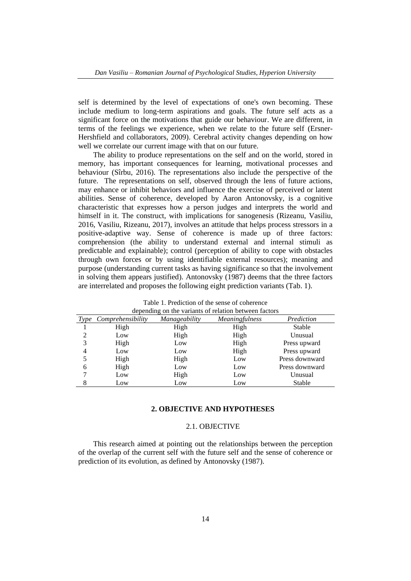self is determined by the level of expectations of one's own becoming. These include medium to long-term aspirations and goals. The future self acts as a significant force on the motivations that guide our behaviour. We are different, in terms of the feelings we experience, when we relate to the future self (Ersner-Hershfield and collaborators, 2009). Cerebral activity changes depending on how well we correlate our current image with that on our future.

The ability to produce representations on the self and on the world, stored in memory, has important consequences for learning, motivational processes and behaviour (Sîrbu, 2016). The representations also include the perspective of the future. The representations on self, observed through the lens of future actions, may enhance or inhibit behaviors and influence the exercise of perceived or latent abilities. Sense of coherence, developed by Aaron Antonovsky, is a cognitive characteristic that expresses how a person judges and interprets the world and himself in it. The construct, with implications for sanogenesis (Rizeanu, Vasiliu, 2016, Vasiliu, Rizeanu, 2017), involves an attitude that helps process stressors in a positive-adaptive way. Sense of coherence is made up of three factors: comprehension (the ability to understand external and internal stimuli as predictable and explainable); control (perception of ability to cope with obstacles through own forces or by using identifiable external resources); meaning and purpose (understanding current tasks as having significance so that the involvement in solving them appears justified). Antonovsky (1987) deems that the three factors are interrelated and proposes the following eight prediction variants (Tab. 1).

| depending on the variants of relation between factors |                   |                      |                       |                |  |
|-------------------------------------------------------|-------------------|----------------------|-----------------------|----------------|--|
| Type                                                  | Comprehensibility | <i>Manageability</i> | <i>Meaningfulness</i> | Prediction     |  |
|                                                       | High              | High                 | High                  | Stable         |  |
| 2                                                     | Low               | High                 | High                  | Unusual        |  |
| 3                                                     | High              | Low                  | High                  | Press upward   |  |
| 4                                                     | Low               | Low                  | High                  | Press upward   |  |
| 5                                                     | High              | High                 | Low                   | Press downward |  |
| 6                                                     | High              | Low                  | Low                   | Press downward |  |
|                                                       | Low               | High                 | Low                   | Unusual        |  |
|                                                       | Low               | Low                  | Low                   | Stable         |  |

Table 1. Prediction of the sense of coherence depending on the variants of relation between factors

## **2. OBJECTIVE AND HYPOTHESES**

## 2.1. OBJECTIVE

This research aimed at pointing out the relationships between the perception of the overlap of the current self with the future self and the sense of coherence or prediction of its evolution, as defined by Antonovsky (1987).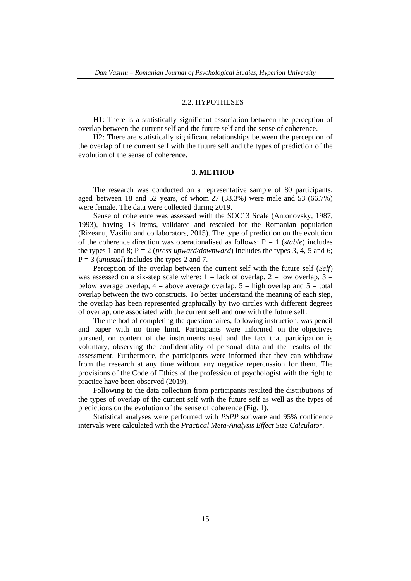### 2.2. HYPOTHESES

H1: There is a statistically significant association between the perception of overlap between the current self and the future self and the sense of coherence.

H2: There are statistically significant relationships between the perception of the overlap of the current self with the future self and the types of prediction of the evolution of the sense of coherence.

#### **3. METHOD**

The research was conducted on a representative sample of 80 participants, aged between 18 and 52 years, of whom 27 (33.3%) were male and 53 (66.7%) were female. The data were collected during 2019.

Sense of coherence was assessed with the SOC13 Scale (Antonovsky, 1987, 1993), having 13 items, validated and rescaled for the Romanian population (Rizeanu, Vasiliu and collaborators, 2015). The type of prediction on the evolution of the coherence direction was operationalised as follows:  $P = 1$  (*stable*) includes the types 1 and 8;  $P = 2$  (*press upward/downward*) includes the types 3, 4, 5 and 6; P = 3 (*unusual*) includes the types 2 and 7.

Perception of the overlap between the current self with the future self (*Self*) was assessed on a six-step scale where:  $1 =$  lack of overlap,  $2 =$  low overlap,  $3 =$ below average overlap,  $4 =$  above average overlap,  $5 =$  high overlap and  $5 =$  total overlap between the two constructs. To better understand the meaning of each step, the overlap has been represented graphically by two circles with different degrees of overlap, one associated with the current self and one with the future self.

The method of completing the questionnaires, following instruction, was pencil and paper with no time limit. Participants were informed on the objectives pursued, on content of the instruments used and the fact that participation is voluntary, observing the confidentiality of personal data and the results of the assessment. Furthermore, the participants were informed that they can withdraw from the research at any time without any negative repercussion for them. The provisions of the Code of Ethics of the profession of psychologist with the right to practice have been observed (2019).

Following to the data collection from participants resulted the distributions of the types of overlap of the current self with the future self as well as the types of predictions on the evolution of the sense of coherence (Fig. 1).

Statistical analyses were performed with *PSPP* software and 95% confidence intervals were calculated with the *Practical Meta-Analysis Effect Size Calculator*.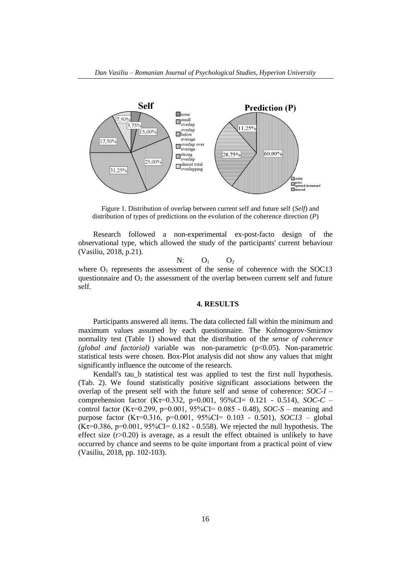

Figure 1. Distribution of overlap between current self and future self (*Self*) and distribution of types of predictions on the evolution of the coherence direction (*P*)

Research followed a non-experimental ex-post-facto design of the observational type, which allowed the study of the participants' current behaviour (Vasiliu, 2018, p.21).

 $N:$   $O_1$   $O_2$ 

where  $O_1$  represents the assessment of the sense of coherence with the SOC13 questionnaire and  $O_2$  the assessment of the overlap between current self and future self.

### **4. RESULTS**

Participants answered all items. The data collected fall within the minimum and maximum values assumed by each questionnaire. The Kolmogorov-Smirnov normality test (Table 1) showed that the distribution of the *sense of coherence (global and factorial)* variable was non-parametric (p<0.05). Non-parametric statistical tests were chosen. Box-Plot analysis did not show any values that might significantly influence the outcome of the research.

Kendall's tau b statistical test was applied to test the first null hypothesis. (Tab. 2). We found statistically positive significant associations between the overlap of the present self with the future self and sense of coherence: *SOC-I* – comprehension factor (Kτ=0.332, p=0.001, 95%CI= 0.121 - 0.514), *SOC-C* – control factor (Kτ=0.299, p=0.001, 95%CI= 0.085 - 0.48), *SOC-S* – meaning and purpose factor (Kτ=0.316, p=0.001, 95%CI= 0.103 - 0.501), *SOC13* – global  $(K_{\tau}=0.386, p=0.001, 95\%CI = 0.182 - 0.558)$ . We rejected the null hypothesis. The effect size  $(r>0.20)$  is average, as a result the effect obtained is unlikely to have occurred by chance and seems to be quite important from a practical point of view (Vasiliu, 2018, pp. 102-103).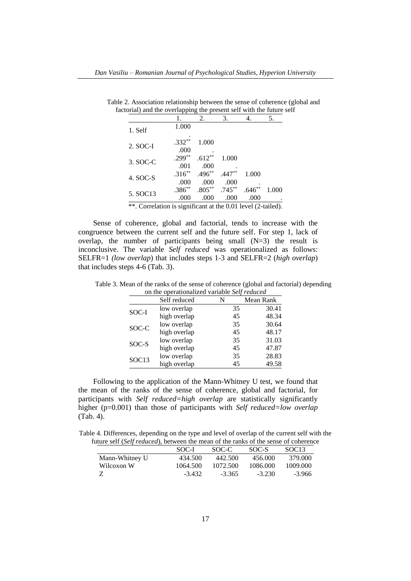| toriar) and the overlapping the present sen with the future se |                   |                   |                   |       |       |
|----------------------------------------------------------------|-------------------|-------------------|-------------------|-------|-------|
|                                                                |                   | 2.                | 3.                |       | 5.    |
| 1. Self                                                        | 1.000             |                   |                   |       |       |
| 2. SOC-I                                                       | $.332**$<br>.000  | 1.000             |                   |       |       |
| 3. SOC-C                                                       | $.299***$<br>.001 | $.612**$<br>.000  | 1.000             |       |       |
| 4. SOC-S                                                       | $.316**$<br>.000  | $.496**$<br>.000  | $.447**$<br>.000  | 1.000 |       |
| 5. SOC13                                                       | $.386**$<br>.000  | $.805***$<br>.000 | $.745***$<br>.000 | .000  | 1.000 |

Table 2. Association relationship between the sense of coherence (global and factorial) and the overlapping the present self with the future self

\*\*. Correlation is significant at the 0.01 level (2-tailed).

Sense of coherence, global and factorial, tends to increase with the congruence between the current self and the future self. For step 1, lack of overlap, the number of participants being small (N=3) the result is inconclusive. The variable *Self reduced* was operationalized as follows: SELFR=1 *(low overlap*) that includes steps 1-3 and SELFR=2 (*high overlap*) that includes steps 4-6 (Tab. 3).

Table 3. Mean of the ranks of the sense of coherence (global and factorial) depending on the operationalized variable *Self reduced*

| Self reduced |              | N  | Mean Rank |  |
|--------------|--------------|----|-----------|--|
|              | low overlap  | 35 | 30.41     |  |
| SOC-I        | high overlap | 45 | 48.34     |  |
| SOC-C        | low overlap  | 35 | 30.64     |  |
|              | high overlap | 45 | 48.17     |  |
| SOC-S        | low overlap  | 35 | 31.03     |  |
|              | high overlap | 45 | 47.87     |  |
| SOC13        | low overlap  | 35 | 28.83     |  |
|              | high overlap | 45 | 49.58     |  |

Following to the application of the Mann-Whitney U test, we found that the mean of the ranks of the sense of coherence, global and factorial, for participants with *Self reduced=high overlap* are statistically significantly higher (p=0.001) than those of participants with *Self reduced=low overlap* (Tab. 4).

Table 4. Differences, depending on the type and level of overlap of the current self with the future self (*Self reduced*), between the mean of the ranks of the sense of coherence

| SOC-I    | SOC-C    | SOC-S    | SOC <sub>13</sub>                                                             |
|----------|----------|----------|-------------------------------------------------------------------------------|
| 434.500  | 442.500  | 456.000  | 379.000                                                                       |
| 1064.500 | 1072.500 | 1086.000 | 1009.000                                                                      |
| $-3.432$ | $-3.365$ | $-3.230$ | $-3.966$                                                                      |
|          |          |          | and son (see readed), soon con the mean of the ranks of the sense of concreme |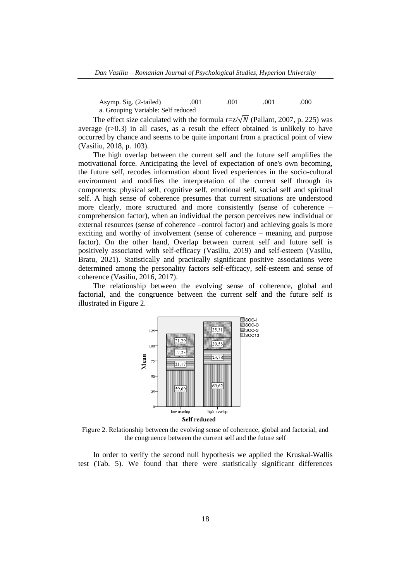Asymp. Sig. (2-tailed)  $.001$   $.001$   $.001$   $.000$ a. Grouping Variable: Self reduced

The effect size calculated with the formula r=z/ $\sqrt{N}$  (Pallant, 2007, p. 225) was average  $(r>0.3)$  in all cases, as a result the effect obtained is unlikely to have occurred by chance and seems to be quite important from a practical point of view (Vasiliu, 2018, p. 103).

The high overlap between the current self and the future self amplifies the motivational force. Anticipating the level of expectation of one's own becoming, the future self, recodes information about lived experiences in the socio-cultural environment and modifies the interpretation of the current self through its components: physical self, cognitive self, emotional self, social self and spiritual self. A high sense of coherence presumes that current situations are understood more clearly, more structured and more consistently (sense of coherence – comprehension factor), when an individual the person perceives new individual or external resources (sense of coherence –control factor) and achieving goals is more exciting and worthy of involvement (sense of coherence – meaning and purpose factor). On the other hand, Overlap between current self and future self is positively associated with self-efficacy (Vasiliu, 2019) and self-esteem (Vasiliu, Bratu, 2021). Statistically and practically significant positive associations were determined among the personality factors self-efficacy, self-esteem and sense of coherence (Vasiliu, 2016, 2017).

The relationship between the evolving sense of coherence, global and factorial, and the congruence between the current self and the future self is illustrated in Figure 2.



Figure 2. Relationship between the evolving sense of coherence, global and factorial, and the congruence between the current self and the future self

In order to verify the second null hypothesis we applied the Kruskal-Wallis test (Tab. 5). We found that there were statistically significant differences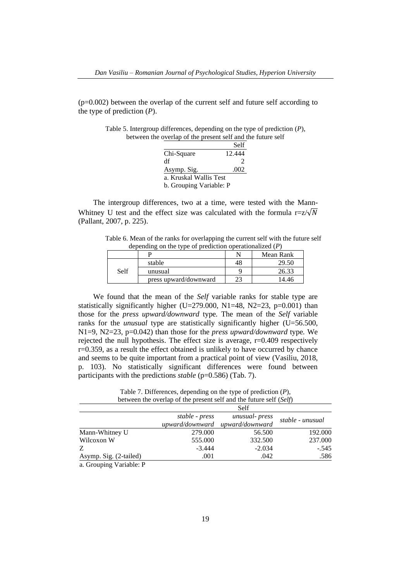$(p=0.002)$  between the overlap of the current self and future self according to the type of prediction (*P*).

| Table 5. Intergroup differences, depending on the type of prediction $(P)$ , |  |
|------------------------------------------------------------------------------|--|
| between the overlap of the present self and the future self                  |  |

|                         | Self           |
|-------------------------|----------------|
| Chi-Square              | 12.444         |
| df                      | $\mathfrak{D}$ |
| Asymp. Sig.             | .002           |
| a. Kruskal Wallis Test  |                |
| b. Grouping Variable: P |                |

The intergroup differences, two at a time, were tested with the Mann-Whitney U test and the effect size was calculated with the formula r= $z/\sqrt{N}$ (Pallant, 2007, p. 225).

Table 6. Mean of the ranks for overlapping the current self with the future self depending on the type of prediction operationalized (*P*)

|      |                       |    | Mean Rank |
|------|-----------------------|----|-----------|
|      | stable                | 48 | 29.50     |
| Self | unusual               |    | 26.33     |
|      | press upward/downward |    |           |

We found that the mean of the *Self* variable ranks for stable type are statistically significantly higher (U=279.000, N1=48, N2=23, p=0.001) than those for the *press upward/downward* type*.* The mean of the *Self* variable ranks for the *unusual* type are statistically significantly higher (U=56.500, N1=9, N2=23, p=0.042) than those for the *press upward/downward* type*.* We rejected the null hypothesis. The effect size is average, r=0.409 respectively r=0.359, as a result the effect obtained is unlikely to have occurred by chance and seems to be quite important from a practical point of view (Vasiliu, 2018, p. 103). No statistically significant differences were found between participants with the predictions *stable* (p=0.586) (Tab. 7).

Table 7. Differences, depending on the type of prediction (*P*), between the overlap of the present self and the future self (*Self*)

|                        |                | Self                            |                  |
|------------------------|----------------|---------------------------------|------------------|
|                        | stable - press | unusual- press                  | stable - unusual |
|                        |                | upward/downward upward/downward |                  |
| Mann-Whitney U         | 279.000        | 56.500                          | 192.000          |
| Wilcoxon W             | 555.000        | 332.500                         | 237.000          |
| Z                      | $-3.444$       | $-2.034$                        | $-.545$          |
| Asymp. Sig. (2-tailed) | .001           | .042                            | .586             |

a. Grouping Variable: P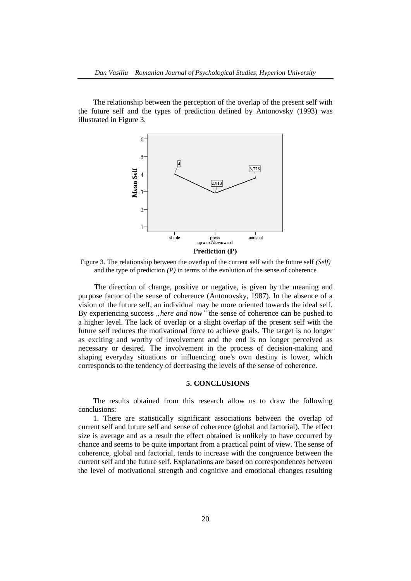The relationship between the perception of the overlap of the present self with the future self and the types of prediction defined by Antonovsky (1993) was illustrated in Figure 3.



Figure 3. The relationship between the overlap of the current self with the future self *(Self)* and the type of prediction  $(P)$  in terms of the evolution of the sense of coherence

The direction of change, positive or negative, is given by the meaning and purpose factor of the sense of coherence (Antonovsky, 1987). In the absence of a vision of the future self, an individual may be more oriented towards the ideal self. By experiencing success "here and now" the sense of coherence can be pushed to a higher level. The lack of overlap or a slight overlap of the present self with the future self reduces the motivational force to achieve goals. The target is no longer as exciting and worthy of involvement and the end is no longer perceived as necessary or desired. The involvement in the process of decision-making and shaping everyday situations or influencing one's own destiny is lower, which corresponds to the tendency of decreasing the levels of the sense of coherence.

### **5. CONCLUSIONS**

The results obtained from this research allow us to draw the following conclusions:

1. There are statistically significant associations between the overlap of current self and future self and sense of coherence (global and factorial). The effect size is average and as a result the effect obtained is unlikely to have occurred by chance and seems to be quite important from a practical point of view. The sense of coherence, global and factorial, tends to increase with the congruence between the current self and the future self. Explanations are based on correspondences between the level of motivational strength and cognitive and emotional changes resulting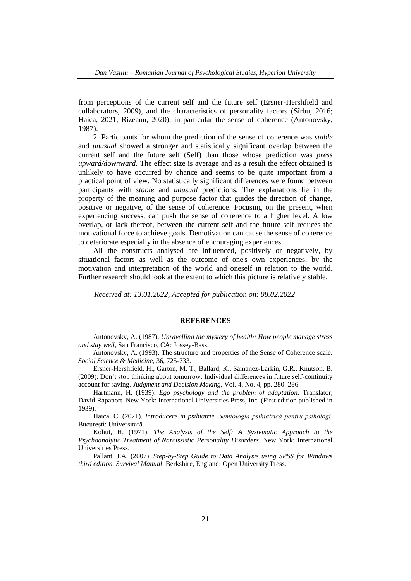from perceptions of the current self and the future self (Ersner-Hershfield and collaborators, 2009), and the characteristics of personality factors (Sîrbu, 2016; Haica, 2021; Rizeanu, 2020), in particular the sense of coherence (Antonovsky, 1987).

2. Participants for whom the prediction of the sense of coherence was *stable* and *unusual* showed a stronger and statistically significant overlap between the current self and the future self (Self) than those whose prediction was *press upward/downward.* The effect size is average and as a result the effect obtained is unlikely to have occurred by chance and seems to be quite important from a practical point of view. No statistically significant differences were found between participants with *stable* and *unusual* predictions*.* The explanations lie in the property of the meaning and purpose factor that guides the direction of change, positive or negative, of the sense of coherence. Focusing on the present, when experiencing success, can push the sense of coherence to a higher level. A low overlap, or lack thereof, between the current self and the future self reduces the motivational force to achieve goals. Demotivation can cause the sense of coherence to deteriorate especially in the absence of encouraging experiences.

All the constructs analysed are influenced, positively or negatively, by situational factors as well as the outcome of one's own experiences, by the motivation and interpretation of the world and oneself in relation to the world. Further research should look at the extent to which this picture is relatively stable.

*Received at: 13.01.2022, Accepted for publication on: 08.02.2022*

## **REFERENCES**

Antonovsky, A. (1987). *Unravelling the mystery of health: How people manage stress and stay well*, San Francisco, CA: Jossey-Bass.

Antonovsky, A. (1993). The structure and properties of the Sense of Coherence scale. *Social Science & Medicine*, 36, 725-733.

Ersner-Hershfield, H., Garton, M. T., Ballard, K., Samanez-Larkin, G.R., Knutson, B. (2009). Don't stop thinking about tomorrow: Individual differences in future self-continuity account for saving. *Judgment and Decision Making,* Vol. 4, No. 4, pp. 280–286.

Hartmann, H. (1939). *Ego psychology and the problem of adaptation*. Translator, David Rapaport. New York: International Universities Press, Inc. (First edition published in 1939).

Haica, C. (2021). *Introducere in psihiatrie. Semiologia psihiatrică pentru psihologi*. București: Universitară.

Kohut, H. (1971). *The Analysis of the Self: A Systematic Approach to the Psychoanalytic Treatment of Narcissistic Personality Disorders*. New York: International Universities Press.

Pallant, J.A. (2007). *Step-by-Step Guide to Data Analysis using SPSS for Windows third edition. Survival Manual*. Berkshire, England: Open University Press.